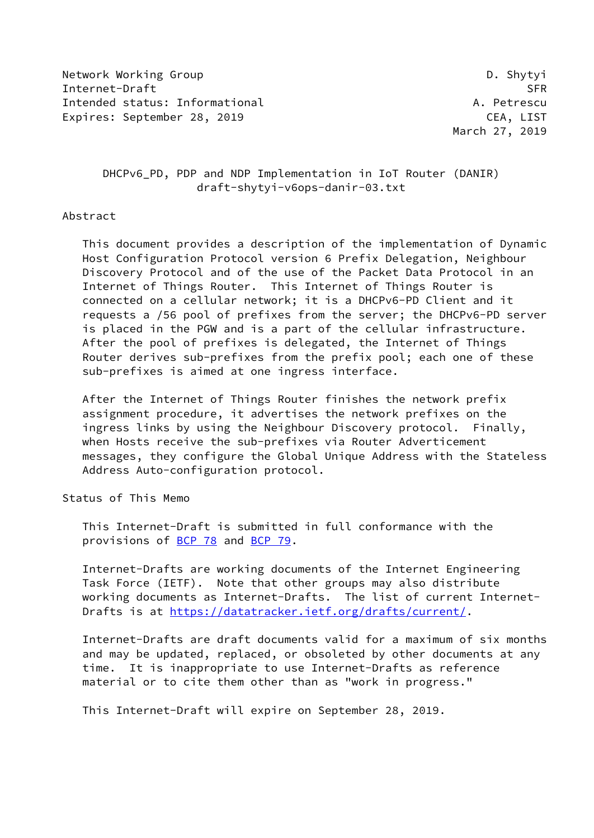Network Working Group Design and the United States of the United States of the United States of the United States of the United States of the United States of the United States of the United States of the United States of Internet-Draft SFR Intended status: Informational A. Petrescu Expires: September 28, 2019 CEA, LIST

March 27, 2019

 DHCPv6\_PD, PDP and NDP Implementation in IoT Router (DANIR) draft-shytyi-v6ops-danir-03.txt

## Abstract

 This document provides a description of the implementation of Dynamic Host Configuration Protocol version 6 Prefix Delegation, Neighbour Discovery Protocol and of the use of the Packet Data Protocol in an Internet of Things Router. This Internet of Things Router is connected on a cellular network; it is a DHCPv6-PD Client and it requests a /56 pool of prefixes from the server; the DHCPv6-PD server is placed in the PGW and is a part of the cellular infrastructure. After the pool of prefixes is delegated, the Internet of Things Router derives sub-prefixes from the prefix pool; each one of these sub-prefixes is aimed at one ingress interface.

 After the Internet of Things Router finishes the network prefix assignment procedure, it advertises the network prefixes on the ingress links by using the Neighbour Discovery protocol. Finally, when Hosts receive the sub-prefixes via Router Adverticement messages, they configure the Global Unique Address with the Stateless Address Auto-configuration protocol.

## Status of This Memo

 This Internet-Draft is submitted in full conformance with the provisions of [BCP 78](https://datatracker.ietf.org/doc/pdf/bcp78) and [BCP 79](https://datatracker.ietf.org/doc/pdf/bcp79).

 Internet-Drafts are working documents of the Internet Engineering Task Force (IETF). Note that other groups may also distribute working documents as Internet-Drafts. The list of current Internet Drafts is at<https://datatracker.ietf.org/drafts/current/>.

 Internet-Drafts are draft documents valid for a maximum of six months and may be updated, replaced, or obsoleted by other documents at any time. It is inappropriate to use Internet-Drafts as reference material or to cite them other than as "work in progress."

This Internet-Draft will expire on September 28, 2019.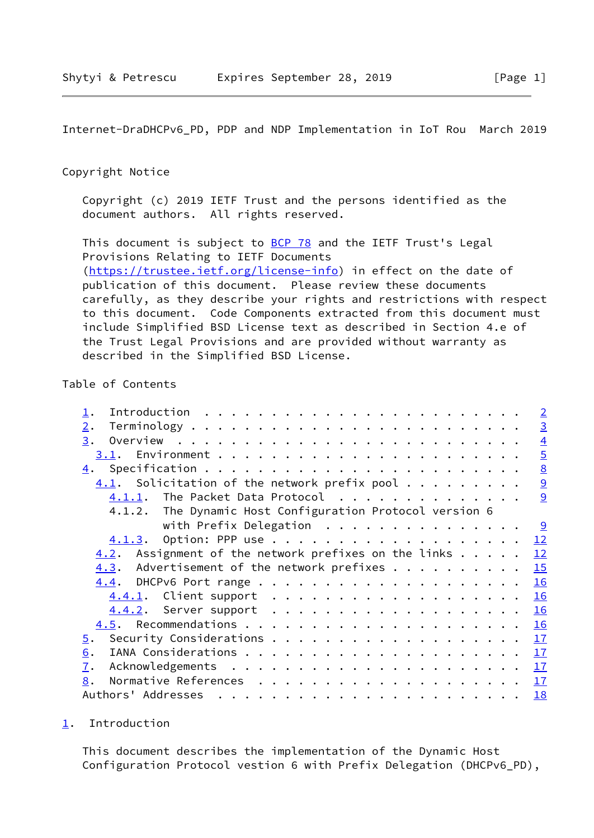## <span id="page-1-1"></span>Copyright Notice

 Copyright (c) 2019 IETF Trust and the persons identified as the document authors. All rights reserved.

This document is subject to **[BCP 78](https://datatracker.ietf.org/doc/pdf/bcp78)** and the IETF Trust's Legal Provisions Relating to IETF Documents [\(https://trustee.ietf.org/license-info](https://trustee.ietf.org/license-info)) in effect on the date of publication of this document. Please review these documents carefully, as they describe your rights and restrictions with respect to this document. Code Components extracted from this document must include Simplified BSD License text as described in Section 4.e of the Trust Legal Provisions and are provided without warranty as described in the Simplified BSD License.

# Table of Contents

|                                                          |  | $\overline{2}$ |
|----------------------------------------------------------|--|----------------|
| 2.                                                       |  | $\overline{3}$ |
| 3.                                                       |  | $\overline{4}$ |
|                                                          |  | $\overline{5}$ |
|                                                          |  | 8              |
| $4.1$ . Solicitation of the network prefix pool          |  | $\overline{9}$ |
| $4.1.1$ . The Packet Data Protocol                       |  | 9              |
| 4.1.2. The Dynamic Host Configuration Protocol version 6 |  |                |
| with Prefix Delegation                                   |  |                |
|                                                          |  | 12             |
| $4.2$ . Assignment of the network prefixes on the links  |  | 12             |
| Advertisement of the network prefixes<br>4.3.            |  | 15             |
|                                                          |  | 16             |
| 4.4.1. Client support                                    |  | 16             |
|                                                          |  | 16             |
|                                                          |  | 16             |
| $\overline{5}$ .                                         |  | 17             |
| 6.                                                       |  | 17             |
| 7.                                                       |  | 17             |
| 8.                                                       |  | 17             |
|                                                          |  | 18             |
|                                                          |  |                |

### <span id="page-1-0"></span>[1](#page-1-0). Introduction

 This document describes the implementation of the Dynamic Host Configuration Protocol vestion 6 with Prefix Delegation (DHCPv6\_PD),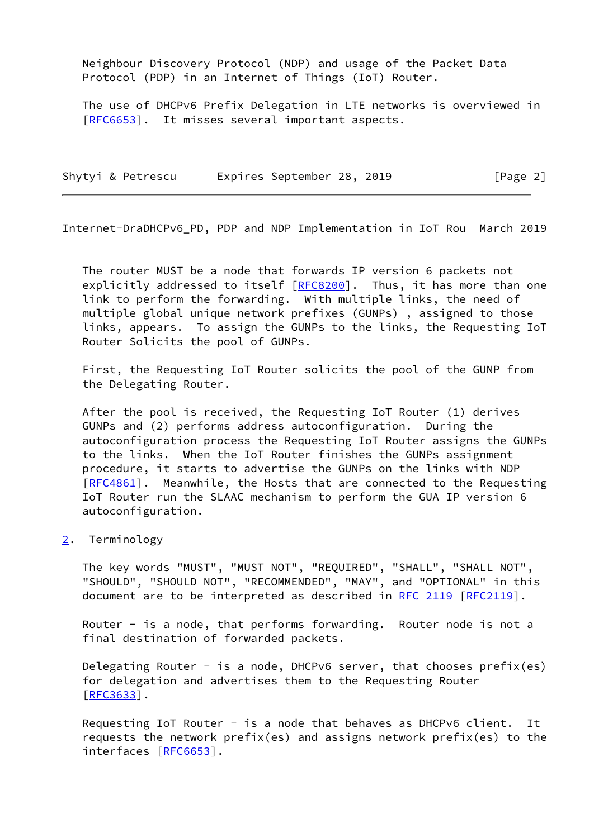Neighbour Discovery Protocol (NDP) and usage of the Packet Data Protocol (PDP) in an Internet of Things (IoT) Router.

 The use of DHCPv6 Prefix Delegation in LTE networks is overviewed in [\[RFC6653](https://datatracker.ietf.org/doc/pdf/rfc6653)]. It misses several important aspects.

| Shytyi & Petrescu | Expires September 28, 2019 |  | [Page 2] |  |
|-------------------|----------------------------|--|----------|--|
|                   |                            |  |          |  |

<span id="page-2-1"></span>Internet-DraDHCPv6\_PD, PDP and NDP Implementation in IoT Rou March 2019

 The router MUST be a node that forwards IP version 6 packets not explicitly addressed to itself [\[RFC8200](https://datatracker.ietf.org/doc/pdf/rfc8200)]. Thus, it has more than one link to perform the forwarding. With multiple links, the need of multiple global unique network prefixes (GUNPs) , assigned to those links, appears. To assign the GUNPs to the links, the Requesting IoT Router Solicits the pool of GUNPs.

 First, the Requesting IoT Router solicits the pool of the GUNP from the Delegating Router.

 After the pool is received, the Requesting IoT Router (1) derives GUNPs and (2) performs address autoconfiguration. During the autoconfiguration process the Requesting IoT Router assigns the GUNPs to the links. When the IoT Router finishes the GUNPs assignment procedure, it starts to advertise the GUNPs on the links with NDP [\[RFC4861](https://datatracker.ietf.org/doc/pdf/rfc4861)]. Meanwhile, the Hosts that are connected to the Requesting IoT Router run the SLAAC mechanism to perform the GUA IP version 6 autoconfiguration.

<span id="page-2-0"></span>[2](#page-2-0). Terminology

 The key words "MUST", "MUST NOT", "REQUIRED", "SHALL", "SHALL NOT", "SHOULD", "SHOULD NOT", "RECOMMENDED", "MAY", and "OPTIONAL" in this document are to be interpreted as described in [RFC 2119 \[RFC2119](https://datatracker.ietf.org/doc/pdf/rfc2119)].

Router - is a node, that performs forwarding. Router node is not a final destination of forwarded packets.

Delegating Router - is a node, DHCPv6 server, that chooses prefix(es) for delegation and advertises them to the Requesting Router [\[RFC3633](https://datatracker.ietf.org/doc/pdf/rfc3633)].

 Requesting IoT Router - is a node that behaves as DHCPv6 client. It requests the network prefix(es) and assigns network prefix(es) to the interfaces [[RFC6653\]](https://datatracker.ietf.org/doc/pdf/rfc6653).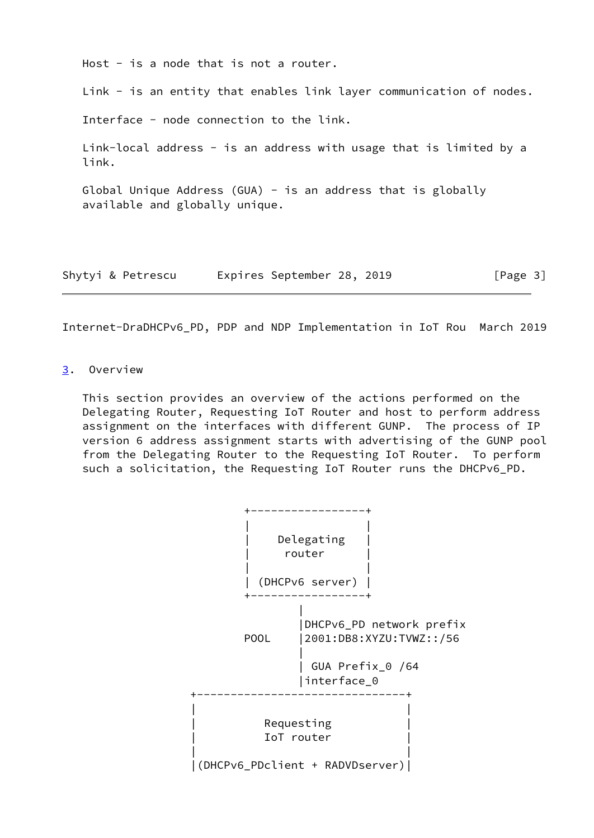Host - is a node that is not a router.

Link - is an entity that enables link layer communication of nodes.

Interface - node connection to the link.

Link-local address - is an address with usage that is limited by a link.

Global Unique Address (GUA) - is an address that is globally available and globally unique.

| Shytyi & Petrescu |  | Expires September 28, 2019 |  |  | [Page 3] |  |
|-------------------|--|----------------------------|--|--|----------|--|
|-------------------|--|----------------------------|--|--|----------|--|

<span id="page-3-1"></span>Internet-DraDHCPv6\_PD, PDP and NDP Implementation in IoT Rou March 2019

## <span id="page-3-0"></span>[3](#page-3-0). Overview

 This section provides an overview of the actions performed on the Delegating Router, Requesting IoT Router and host to perform address assignment on the interfaces with different GUNP. The process of IP version 6 address assignment starts with advertising of the GUNP pool from the Delegating Router to the Requesting IoT Router. To perform such a solicitation, the Requesting IoT Router runs the DHCPv6\_PD.

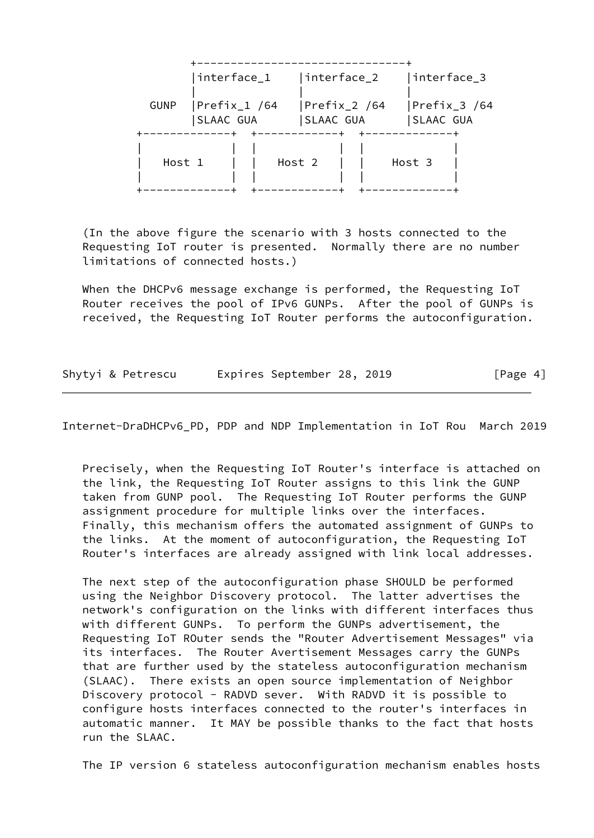| interface_1<br> interface_2<br> interface_3<br>Prefix_1 /64<br>$ Prefix_2$ /64<br><b>GUNP</b><br> SLAAC GUA<br>SLAAC GUA<br>SLAAC GUA<br>Host 1<br>Host 2<br>Host 3 |  |  |  |              |
|---------------------------------------------------------------------------------------------------------------------------------------------------------------------|--|--|--|--------------|
|                                                                                                                                                                     |  |  |  |              |
|                                                                                                                                                                     |  |  |  | Prefix_3 /64 |
|                                                                                                                                                                     |  |  |  |              |

 (In the above figure the scenario with 3 hosts connected to the Requesting IoT router is presented. Normally there are no number limitations of connected hosts.)

 When the DHCPv6 message exchange is performed, the Requesting IoT Router receives the pool of IPv6 GUNPs. After the pool of GUNPs is received, the Requesting IoT Router performs the autoconfiguration.

Shytyi & Petrescu Expires September 28, 2019 [Page 4]

<span id="page-4-0"></span>Internet-DraDHCPv6\_PD, PDP and NDP Implementation in IoT Rou March 2019

 Precisely, when the Requesting IoT Router's interface is attached on the link, the Requesting IoT Router assigns to this link the GUNP taken from GUNP pool. The Requesting IoT Router performs the GUNP assignment procedure for multiple links over the interfaces. Finally, this mechanism offers the automated assignment of GUNPs to the links. At the moment of autoconfiguration, the Requesting IoT Router's interfaces are already assigned with link local addresses.

 The next step of the autoconfiguration phase SHOULD be performed using the Neighbor Discovery protocol. The latter advertises the network's configuration on the links with different interfaces thus with different GUNPs. To perform the GUNPs advertisement, the Requesting IoT ROuter sends the "Router Advertisement Messages" via its interfaces. The Router Avertisement Messages carry the GUNPs that are further used by the stateless autoconfiguration mechanism (SLAAC). There exists an open source implementation of Neighbor Discovery protocol - RADVD sever. With RADVD it is possible to configure hosts interfaces connected to the router's interfaces in automatic manner. It MAY be possible thanks to the fact that hosts run the SLAAC.

The IP version 6 stateless autoconfiguration mechanism enables hosts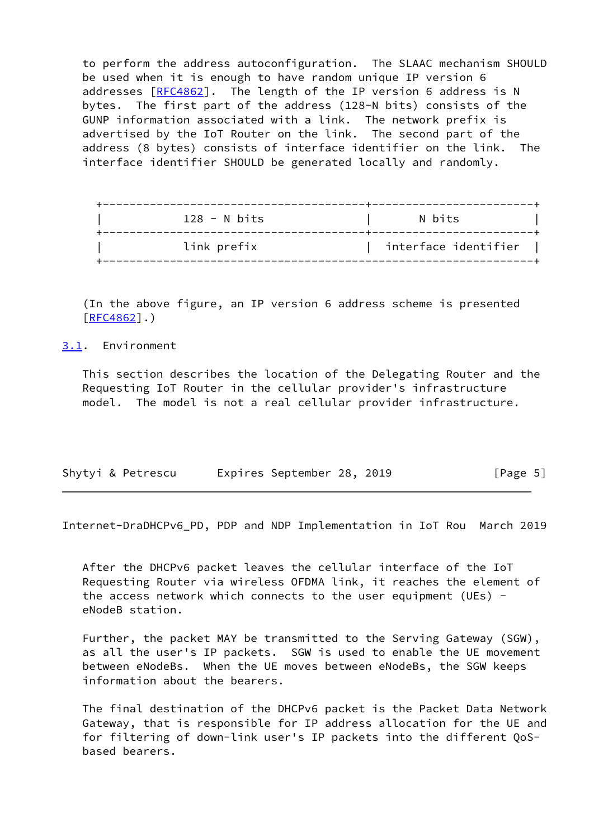to perform the address autoconfiguration. The SLAAC mechanism SHOULD be used when it is enough to have random unique IP version 6 addresses [[RFC4862](https://datatracker.ietf.org/doc/pdf/rfc4862)]. The length of the IP version 6 address is N bytes. The first part of the address (128-N bits) consists of the GUNP information associated with a link. The network prefix is advertised by the IoT Router on the link. The second part of the address (8 bytes) consists of interface identifier on the link. The interface identifier SHOULD be generated locally and randomly.

| $128 - N$ bits | N bits               |
|----------------|----------------------|
| link prefix    | interface identifier |

 (In the above figure, an IP version 6 address scheme is presented [\[RFC4862](https://datatracker.ietf.org/doc/pdf/rfc4862)].)

<span id="page-5-0"></span>[3.1](#page-5-0). Environment

 This section describes the location of the Delegating Router and the Requesting IoT Router in the cellular provider's infrastructure model. The model is not a real cellular provider infrastructure.

|  |  | Shytyi & Petrescu |  | Expires September 28, 2019 |  |  |  | [Page 5] |  |
|--|--|-------------------|--|----------------------------|--|--|--|----------|--|
|--|--|-------------------|--|----------------------------|--|--|--|----------|--|

Internet-DraDHCPv6\_PD, PDP and NDP Implementation in IoT Rou March 2019

 After the DHCPv6 packet leaves the cellular interface of the IoT Requesting Router via wireless OFDMA link, it reaches the element of the access network which connects to the user equipment (UEs) eNodeB station.

 Further, the packet MAY be transmitted to the Serving Gateway (SGW), as all the user's IP packets. SGW is used to enable the UE movement between eNodeBs. When the UE moves between eNodeBs, the SGW keeps information about the bearers.

 The final destination of the DHCPv6 packet is the Packet Data Network Gateway, that is responsible for IP address allocation for the UE and for filtering of down-link user's IP packets into the different QoS based bearers.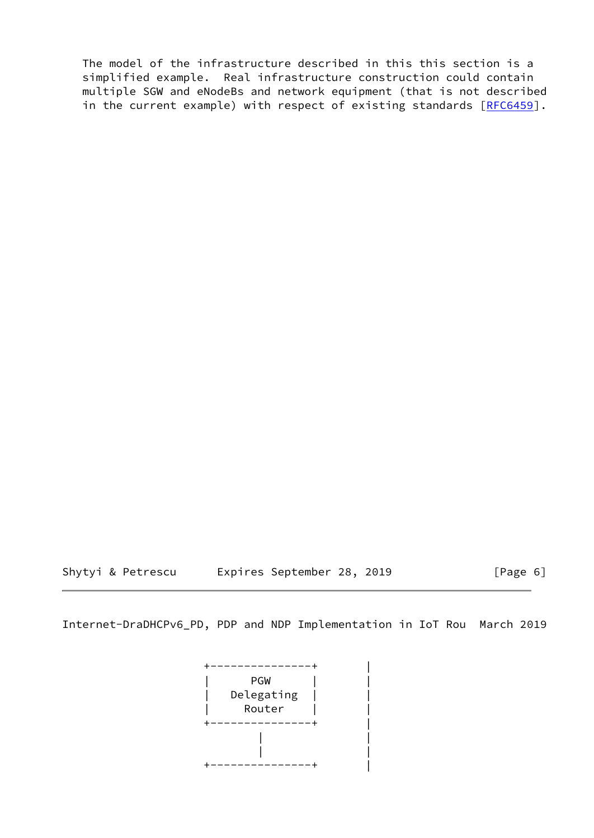The model of the infrastructure described in this this section is a simplified example. Real infrastructure construction could contain multiple SGW and eNodeBs and network equipment (that is not described in the current example) with respect of existing standards [[RFC6459\]](https://datatracker.ietf.org/doc/pdf/rfc6459).

Shytyi & Petrescu Expires September 28, 2019 [Page 6]

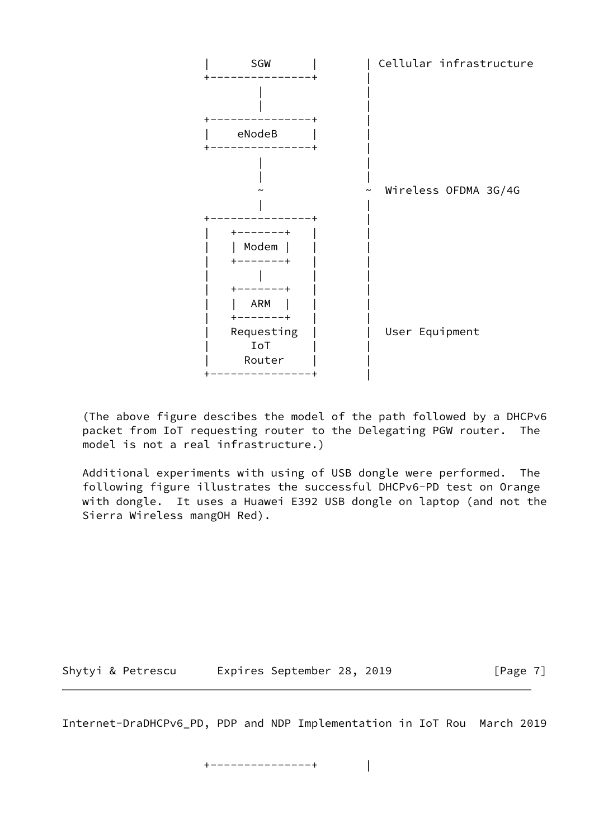

 (The above figure descibes the model of the path followed by a DHCPv6 packet from IoT requesting router to the Delegating PGW router. The model is not a real infrastructure.)

 Additional experiments with using of USB dongle were performed. The following figure illustrates the successful DHCPv6-PD test on Orange with dongle. It uses a Huawei E392 USB dongle on laptop (and not the Sierra Wireless mangOH Red).

<span id="page-7-0"></span>

Shytyi & Petrescu Expires September 28, 2019 [Page 7]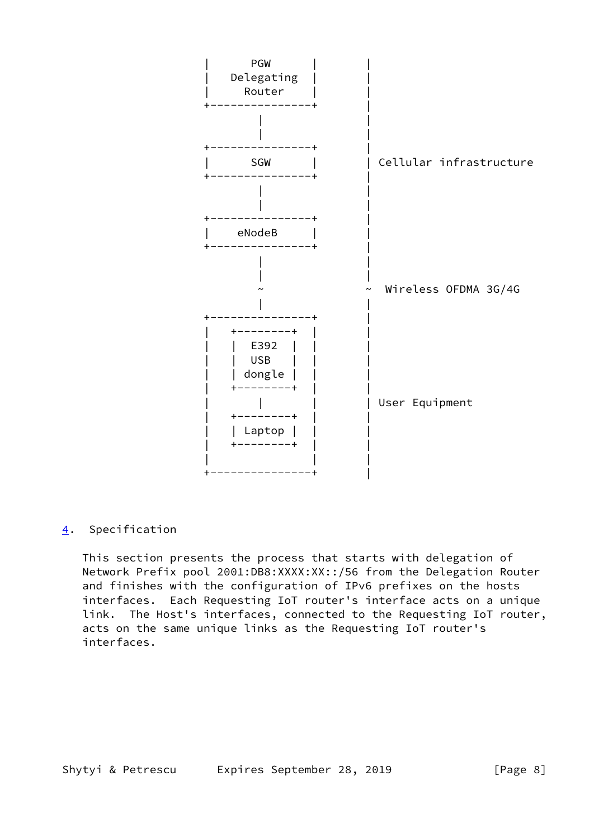

# <span id="page-8-0"></span>[4](#page-8-0). Specification

 This section presents the process that starts with delegation of Network Prefix pool 2001:DB8:XXXX:XX::/56 from the Delegation Router and finishes with the configuration of IPv6 prefixes on the hosts interfaces. Each Requesting IoT router's interface acts on a unique link. The Host's interfaces, connected to the Requesting IoT router, acts on the same unique links as the Requesting IoT router's interfaces.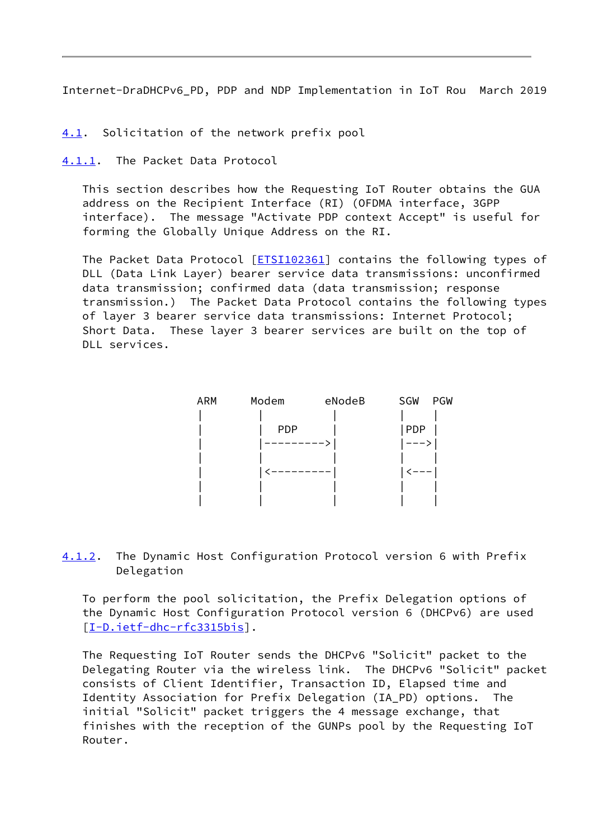<span id="page-9-1"></span><span id="page-9-0"></span>[4.1](#page-9-0). Solicitation of the network prefix pool

<span id="page-9-2"></span>[4.1.1](#page-9-2). The Packet Data Protocol

 This section describes how the Requesting IoT Router obtains the GUA address on the Recipient Interface (RI) (OFDMA interface, 3GPP interface). The message "Activate PDP context Accept" is useful for forming the Globally Unique Address on the RI.

The Packet Data Protocol [\[ETSI102361\]](#page-18-5) contains the following types of DLL (Data Link Layer) bearer service data transmissions: unconfirmed data transmission; confirmed data (data transmission; response transmission.) The Packet Data Protocol contains the following types of layer 3 bearer service data transmissions: Internet Protocol; Short Data. These layer 3 bearer services are built on the top of DLL services.



<span id="page-9-3"></span>[4.1.2](#page-9-3). The Dynamic Host Configuration Protocol version 6 with Prefix Delegation

 To perform the pool solicitation, the Prefix Delegation options of the Dynamic Host Configuration Protocol version 6 (DHCPv6) are used [\[I-D.ietf-dhc-rfc3315bis](#page-18-6)].

 The Requesting IoT Router sends the DHCPv6 "Solicit" packet to the Delegating Router via the wireless link. The DHCPv6 "Solicit" packet consists of Client Identifier, Transaction ID, Elapsed time and Identity Association for Prefix Delegation (IA\_PD) options. The initial "Solicit" packet triggers the 4 message exchange, that finishes with the reception of the GUNPs pool by the Requesting IoT Router.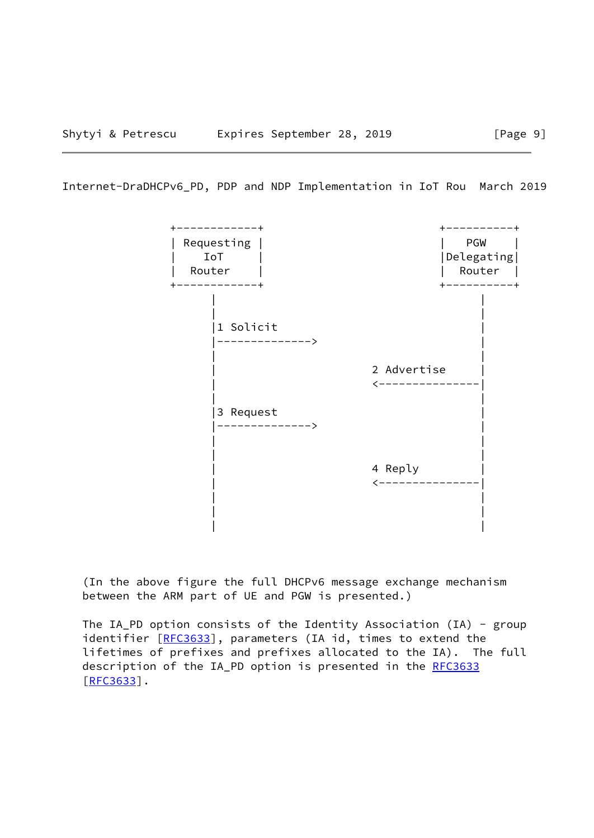

 (In the above figure the full DHCPv6 message exchange mechanism between the ARM part of UE and PGW is presented.)

 The IA\_PD option consists of the Identity Association (IA) - group identifier [[RFC3633\]](https://datatracker.ietf.org/doc/pdf/rfc3633), parameters (IA id, times to extend the lifetimes of prefixes and prefixes allocated to the IA). The full description of the IA\_PD option is presented in the [RFC3633](https://datatracker.ietf.org/doc/pdf/rfc3633) [\[RFC3633](https://datatracker.ietf.org/doc/pdf/rfc3633)].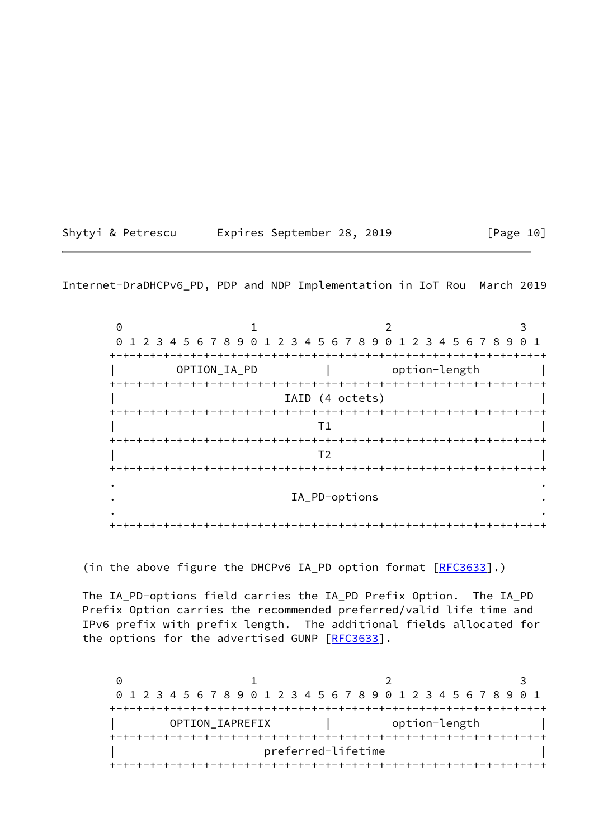| Shytyi & Petrescu |  | Expires September 28, 2019 |  |  | [Page 10] |  |
|-------------------|--|----------------------------|--|--|-----------|--|
|-------------------|--|----------------------------|--|--|-----------|--|

 $0$  1 2 3 0 1 2 3 4 5 6 7 8 9 0 1 2 3 4 5 6 7 8 9 0 1 2 3 4 5 6 7 8 9 0 1 +-+-+-+-+-+-+-+-+-+-+-+-+-+-+-+-+-+-+-+-+-+-+-+-+-+-+-+-+-+-+-+-+ OPTION\_IA\_PD | option-length +-+-+-+-+-+-+-+-+-+-+-+-+-+-+-+-+-+-+-+-+-+-+-+-+-+-+-+-+-+-+-+-+ IAID (4 octets) +-+-+-+-+-+-+-+-+-+-+-+-+-+-+-+-+-+-+-+-+-+-+-+-+-+-+-+-+-+-+-+-+ | T1 | +-+-+-+-+-+-+-+-+-+-+-+-+-+-+-+-+-+-+-+-+-+-+-+-+-+-+-+-+-+-+-+-+ | T2 | +-+-+-+-+-+-+-+-+-+-+-+-+-+-+-+-+-+-+-+-+-+-+-+-+-+-+-+-+-+-+-+-+ . . . IA\_PD-options . . . +-+-+-+-+-+-+-+-+-+-+-+-+-+-+-+-+-+-+-+-+-+-+-+-+-+-+-+-+-+-+-+-+

(in the above figure the DHCPv6 IA\_PD option format [\[RFC3633](https://datatracker.ietf.org/doc/pdf/rfc3633)].)

 The IA\_PD-options field carries the IA\_PD Prefix Option. The IA\_PD Prefix Option carries the recommended preferred/valid life time and IPv6 prefix with prefix length. The additional fields allocated for the options for the advertised GUNP [\[RFC3633](https://datatracker.ietf.org/doc/pdf/rfc3633)].

 $0$  1 2 3 0 1 2 3 4 5 6 7 8 9 0 1 2 3 4 5 6 7 8 9 0 1 2 3 4 5 6 7 8 9 0 1 +-+-+-+-+-+-+-+-+-+-+-+-+-+-+-+-+-+-+-+-+-+-+-+-+-+-+-+-+-+-+-+-+ OPTION\_IAPREFIX | option-length +-+-+-+-+-+-+-+-+-+-+-+-+-+-+-+-+-+-+-+-+-+-+-+-+-+-+-+-+-+-+-+-+ | preferred-lifetime | +-+-+-+-+-+-+-+-+-+-+-+-+-+-+-+-+-+-+-+-+-+-+-+-+-+-+-+-+-+-+-+-+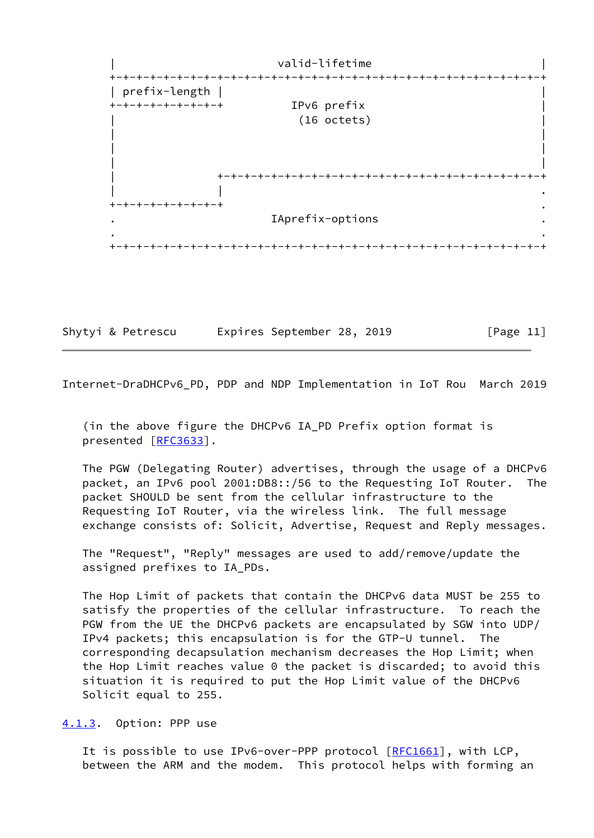

<span id="page-12-1"></span>

|  |  | Shytyi & Petrescu |  | Expires September 28, 2019 |  |  | [Page 11] |  |
|--|--|-------------------|--|----------------------------|--|--|-----------|--|
|--|--|-------------------|--|----------------------------|--|--|-----------|--|

 (in the above figure the DHCPv6 IA\_PD Prefix option format is presented [[RFC3633](https://datatracker.ietf.org/doc/pdf/rfc3633)].

 The PGW (Delegating Router) advertises, through the usage of a DHCPv6 packet, an IPv6 pool 2001:DB8::/56 to the Requesting IoT Router. The packet SHOULD be sent from the cellular infrastructure to the Requesting IoT Router, via the wireless link. The full message exchange consists of: Solicit, Advertise, Request and Reply messages.

 The "Request", "Reply" messages are used to add/remove/update the assigned prefixes to IA\_PDs.

 The Hop Limit of packets that contain the DHCPv6 data MUST be 255 to satisfy the properties of the cellular infrastructure. To reach the PGW from the UE the DHCPv6 packets are encapsulated by SGW into UDP/ IPv4 packets; this encapsulation is for the GTP-U tunnel. The corresponding decapsulation mechanism decreases the Hop Limit; when the Hop Limit reaches value 0 the packet is discarded; to avoid this situation it is required to put the Hop Limit value of the DHCPv6 Solicit equal to 255.

<span id="page-12-0"></span>[4.1.3](#page-12-0). Option: PPP use

It is possible to use IPv6-over-PPP protocol  $[REC1661]$ , with LCP, between the ARM and the modem. This protocol helps with forming an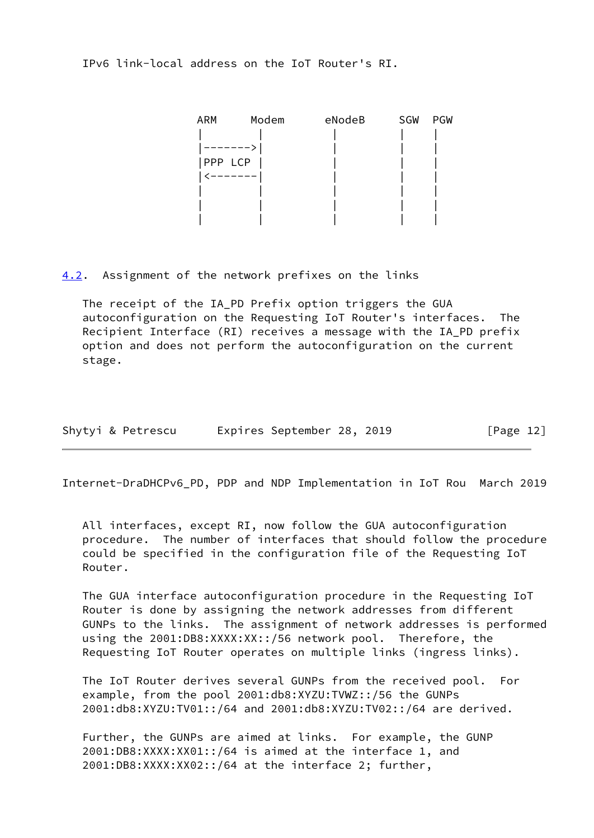IPv6 link-local address on the IoT Router's RI.

| <b>ARM</b> | Modem | eNodeB | SGW | PGW |
|------------|-------|--------|-----|-----|
|            |       |        |     |     |
| -----      |       |        |     |     |
| PPP LCP    |       |        |     |     |
| --------   |       |        |     |     |
|            |       |        |     |     |
|            |       |        |     |     |
|            |       |        |     |     |

<span id="page-13-0"></span>[4.2](#page-13-0). Assignment of the network prefixes on the links

 The receipt of the IA\_PD Prefix option triggers the GUA autoconfiguration on the Requesting IoT Router's interfaces. The Recipient Interface (RI) receives a message with the IA\_PD prefix option and does not perform the autoconfiguration on the current stage.

| Shytyi & Petrescu |  | Expires September 28, 2019 |  |  | [Page 12] |  |
|-------------------|--|----------------------------|--|--|-----------|--|
|-------------------|--|----------------------------|--|--|-----------|--|

Internet-DraDHCPv6\_PD, PDP and NDP Implementation in IoT Rou March 2019

 All interfaces, except RI, now follow the GUA autoconfiguration procedure. The number of interfaces that should follow the procedure could be specified in the configuration file of the Requesting IoT Router.

 The GUA interface autoconfiguration procedure in the Requesting IoT Router is done by assigning the network addresses from different GUNPs to the links. The assignment of network addresses is performed using the 2001:DB8:XXXX:XX::/56 network pool. Therefore, the Requesting IoT Router operates on multiple links (ingress links).

 The IoT Router derives several GUNPs from the received pool. For example, from the pool 2001:db8:XYZU:TVWZ::/56 the GUNPs 2001:db8:XYZU:TV01::/64 and 2001:db8:XYZU:TV02::/64 are derived.

 Further, the GUNPs are aimed at links. For example, the GUNP 2001:DB8:XXXX:XX01::/64 is aimed at the interface 1, and 2001:DB8:XXXX:XX02::/64 at the interface 2; further,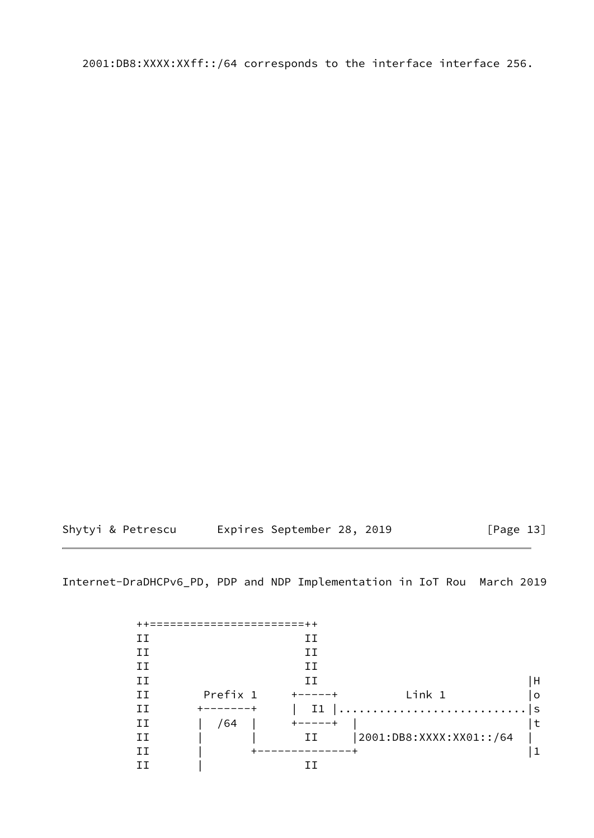2001:DB8:XXXX:XXff::/64 corresponds to the interface interface 256.

Shytyi & Petrescu Expires September 28, 2019 [Page 13]

| TΤ |          | IІ             |                         |         |
|----|----------|----------------|-------------------------|---------|
| IΙ |          | ТT             |                         |         |
| IΙ |          | ŦТ             |                         |         |
| ΤT |          | ТT             |                         | H       |
| H  | Prefix 1 |                | Link 1                  | $\circ$ |
| IΙ |          | I <sub>1</sub> |                         | l S     |
| ΙI | /64      |                |                         | ∣t      |
| IΙ |          | ΙI             | 2001:DB8:XXXX:XX01::/64 |         |
| ТT |          |                |                         |         |
|    |          |                |                         |         |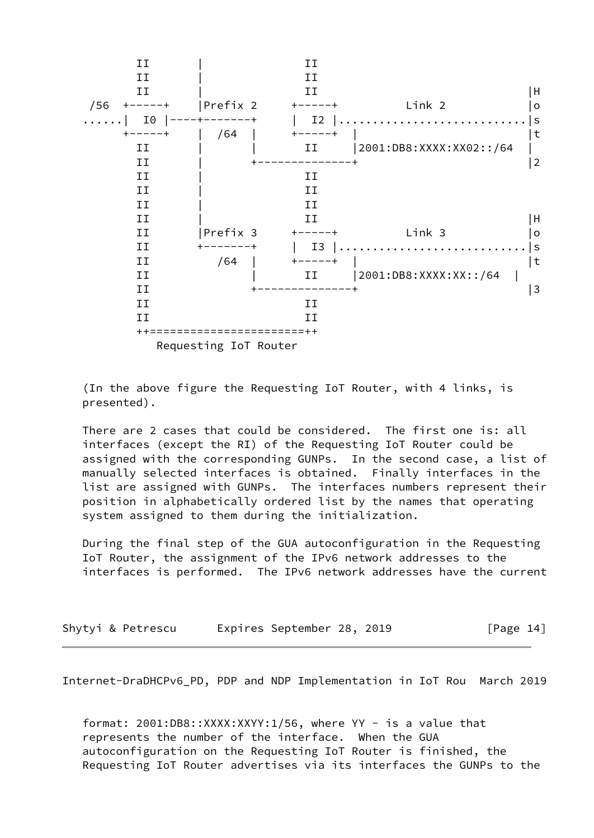

 (In the above figure the Requesting IoT Router, with 4 links, is presented).

 There are 2 cases that could be considered. The first one is: all interfaces (except the RI) of the Requesting IoT Router could be assigned with the corresponding GUNPs. In the second case, a list of manually selected interfaces is obtained. Finally interfaces in the list are assigned with GUNPs. The interfaces numbers represent their position in alphabetically ordered list by the names that operating system assigned to them during the initialization.

 During the final step of the GUA autoconfiguration in the Requesting IoT Router, the assignment of the IPv6 network addresses to the interfaces is performed. The IPv6 network addresses have the current

| Shytyi & Petrescu |  | Expires September 28, 2019 |  |  | [Page 14] |  |
|-------------------|--|----------------------------|--|--|-----------|--|
|-------------------|--|----------------------------|--|--|-----------|--|

<span id="page-15-0"></span>Internet-DraDHCPv6\_PD, PDP and NDP Implementation in IoT Rou March 2019

format: 2001:DB8::XXXX:XXYY:1/56, where YY - is a value that represents the number of the interface. When the GUA autoconfiguration on the Requesting IoT Router is finished, the Requesting IoT Router advertises via its interfaces the GUNPs to the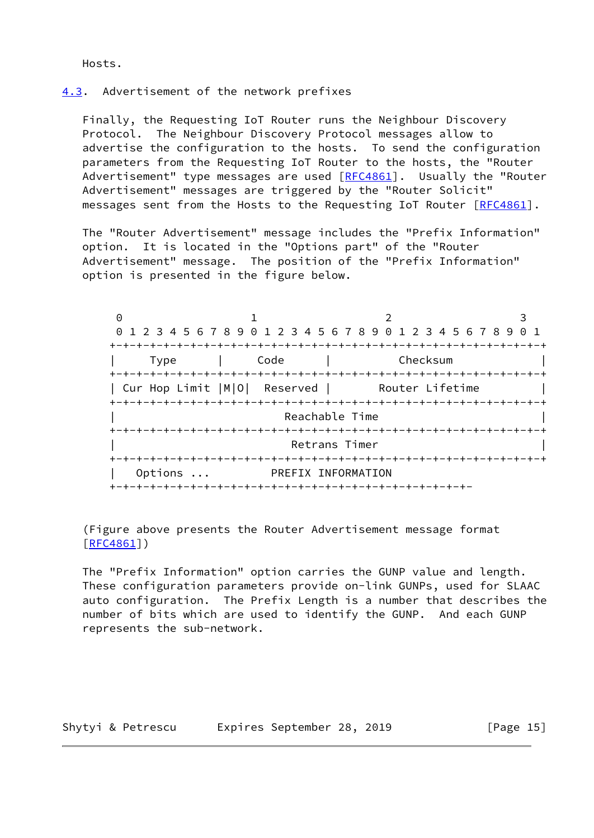Hosts.

## <span id="page-16-0"></span>[4.3](#page-16-0). Advertisement of the network prefixes

 Finally, the Requesting IoT Router runs the Neighbour Discovery Protocol. The Neighbour Discovery Protocol messages allow to advertise the configuration to the hosts. To send the configuration parameters from the Requesting IoT Router to the hosts, the "Router Advertisement" type messages are used [[RFC4861](https://datatracker.ietf.org/doc/pdf/rfc4861)]. Usually the "Router Advertisement" messages are triggered by the "Router Solicit" messages sent from the Hosts to the Requesting IoT Router [[RFC4861](https://datatracker.ietf.org/doc/pdf/rfc4861)].

 The "Router Advertisement" message includes the "Prefix Information" option. It is located in the "Options part" of the "Router Advertisement" message. The position of the "Prefix Information" option is presented in the figure below.

| 0       |                                                      |                    |                                                                 |
|---------|------------------------------------------------------|--------------------|-----------------------------------------------------------------|
|         |                                                      |                    | 0 1 2 3 4 5 6 7 8 9 0 1 2 3 4 5 6 7 8 9 0 1 2 3 4 5 6 7 8 9 0 1 |
|         |                                                      |                    |                                                                 |
| Type    | Code                                                 | Checksum           |                                                                 |
|         | -+-+-+-+-+-+-+-+-+-+-+-+-+-+-+-+-+-+-+               |                    |                                                                 |
|         | Cur Hop Limit  M O  Reserved         Router Lifetime |                    |                                                                 |
|         |                                                      |                    |                                                                 |
|         |                                                      | Reachable Time     |                                                                 |
|         |                                                      |                    |                                                                 |
|         |                                                      | Retrans Timer      |                                                                 |
|         |                                                      |                    |                                                                 |
| Options |                                                      | PREFIX INFORMATION |                                                                 |
|         |                                                      |                    |                                                                 |

 (Figure above presents the Router Advertisement message format [\[RFC4861](https://datatracker.ietf.org/doc/pdf/rfc4861)])

 The "Prefix Information" option carries the GUNP value and length. These configuration parameters provide on-link GUNPs, used for SLAAC auto configuration. The Prefix Length is a number that describes the number of bits which are used to identify the GUNP. And each GUNP represents the sub-network.

Shytyi & Petrescu Expires September 28, 2019 [Page 15]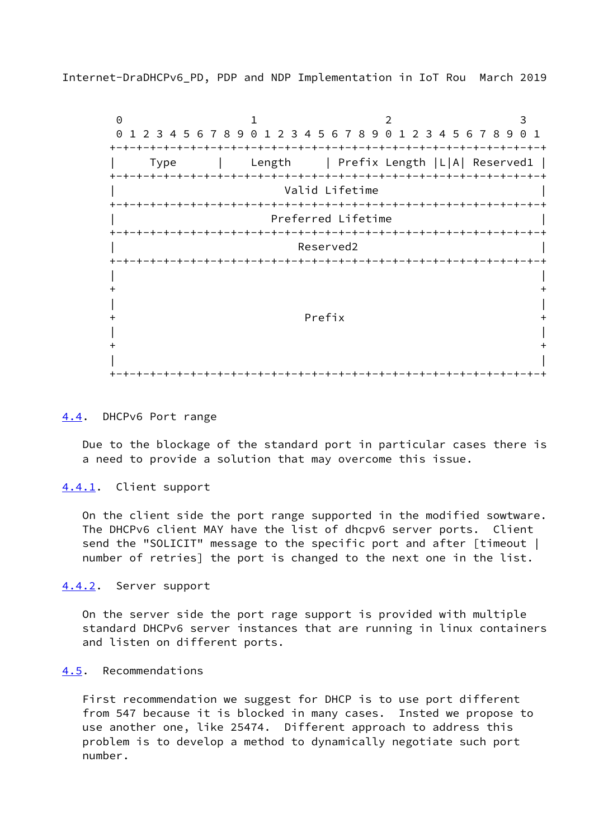<span id="page-17-1"></span> $0$  1 2 3 0 1 2 3 4 5 6 7 8 9 0 1 2 3 4 5 6 7 8 9 0 1 2 3 4 5 6 7 8 9 0 1 +-+-+-+-+-+-+-+-+-+-+-+-+-+-+-+-+-+-+-+-+-+-+-+-+-+-+-+-+-+-+-+-+ | Type | Length | Prefix Length |L|A| Reserved1 | +-+-+-+-+-+-+-+-+-+-+-+-+-+-+-+-+-+-+-+-+-+-+-+-+-+-+-+-+-+-+-+-+ Valid Lifetime +-+-+-+-+-+-+-+-+-+-+-+-+-+-+-+-+-+-+-+-+-+-+-+-+-+-+-+-+-+-+-+-+ Preferred Lifetime +-+-+-+-+-+-+-+-+-+-+-+-+-+-+-+-+-+-+-+-+-+-+-+-+-+-+-+-+-+-+-+-+ | Reserved2 | +-+-+-+-+-+-+-+-+-+-+-+-+-+-+-+-+-+-+-+-+-+-+-+-+-+-+-+-+-+-+-+-+ | |  $+$  +  $+$  +  $+$  +  $+$  +  $+$  +  $+$  +  $+$  +  $+$  +  $+$  +  $+$  +  $+$  +  $+$  +  $+$  +  $+$  +  $+$  +  $+$  +  $+$  +  $+$  +  $+$  +  $+$  +  $+$  +  $+$  +  $+$  +  $+$  +  $+$  +  $+$  +  $+$  +  $+$  +  $+$  +  $+$  +  $+$  +  $+$  +  $+$  +  $+$  +  $+$  +  $+$  +  $+$  + | | + Prefix + | |  $+$  +  $+$  +  $+$  +  $+$  +  $+$  +  $+$  +  $+$  +  $+$  +  $+$  +  $+$  +  $+$  +  $+$  +  $+$  +  $+$  +  $+$  +  $+$  +  $+$  +  $+$  +  $+$  +  $+$  +  $+$  +  $+$  +  $+$  +  $+$  +  $+$  +  $+$  +  $+$  +  $+$  +  $+$  +  $+$  +  $+$  +  $+$  +  $+$  +  $+$  +  $+$  +  $+$  +  $+$  + | | +-+-+-+-+-+-+-+-+-+-+-+-+-+-+-+-+-+-+-+-+-+-+-+-+-+-+-+-+-+-+-+-+

#### <span id="page-17-0"></span>[4.4](#page-17-0). DHCPv6 Port range

 Due to the blockage of the standard port in particular cases there is a need to provide a solution that may overcome this issue.

### <span id="page-17-2"></span>[4.4.1](#page-17-2). Client support

 On the client side the port range supported in the modified sowtware. The DHCPv6 client MAY have the list of dhcpv6 server ports. Client send the "SOLICIT" message to the specific port and after [timeout | number of retries] the port is changed to the next one in the list.

<span id="page-17-3"></span>[4.4.2](#page-17-3). Server support

 On the server side the port rage support is provided with multiple standard DHCPv6 server instances that are running in linux containers and listen on different ports.

## <span id="page-17-4"></span>[4.5](#page-17-4). Recommendations

 First recommendation we suggest for DHCP is to use port different from 547 because it is blocked in many cases. Insted we propose to use another one, like 25474. Different approach to address this problem is to develop a method to dynamically negotiate such port number.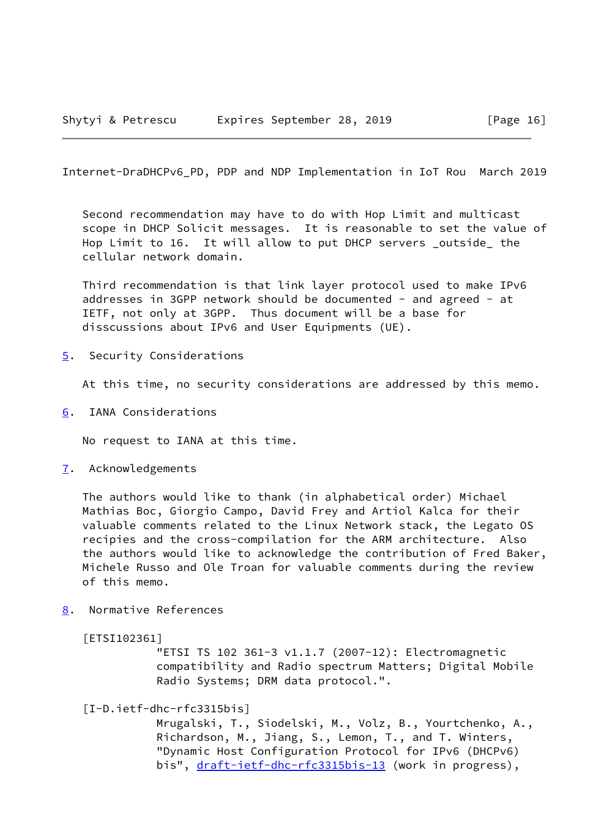<span id="page-18-1"></span> Second recommendation may have to do with Hop Limit and multicast scope in DHCP Solicit messages. It is reasonable to set the value of Hop Limit to 16. It will allow to put DHCP servers outside the cellular network domain.

 Third recommendation is that link layer protocol used to make IPv6 addresses in 3GPP network should be documented - and agreed - at IETF, not only at 3GPP. Thus document will be a base for disscussions about IPv6 and User Equipments (UE).

<span id="page-18-0"></span>[5](#page-18-0). Security Considerations

At this time, no security considerations are addressed by this memo.

<span id="page-18-2"></span>[6](#page-18-2). IANA Considerations

No request to IANA at this time.

<span id="page-18-3"></span>[7](#page-18-3). Acknowledgements

 The authors would like to thank (in alphabetical order) Michael Mathias Boc, Giorgio Campo, David Frey and Artiol Kalca for their valuable comments related to the Linux Network stack, the Legato OS recipies and the cross-compilation for the ARM architecture. Also the authors would like to acknowledge the contribution of Fred Baker, Michele Russo and Ole Troan for valuable comments during the review of this memo.

<span id="page-18-4"></span>[8](#page-18-4). Normative References

<span id="page-18-5"></span>[ETSI102361]

 "ETSI TS 102 361-3 v1.1.7 (2007-12): Electromagnetic compatibility and Radio spectrum Matters; Digital Mobile Radio Systems; DRM data protocol.".

<span id="page-18-6"></span>[I-D.ietf-dhc-rfc3315bis]

 Mrugalski, T., Siodelski, M., Volz, B., Yourtchenko, A., Richardson, M., Jiang, S., Lemon, T., and T. Winters, "Dynamic Host Configuration Protocol for IPv6 (DHCPv6) bis", [draft-ietf-dhc-rfc3315bis-13](https://datatracker.ietf.org/doc/pdf/draft-ietf-dhc-rfc3315bis-13) (work in progress),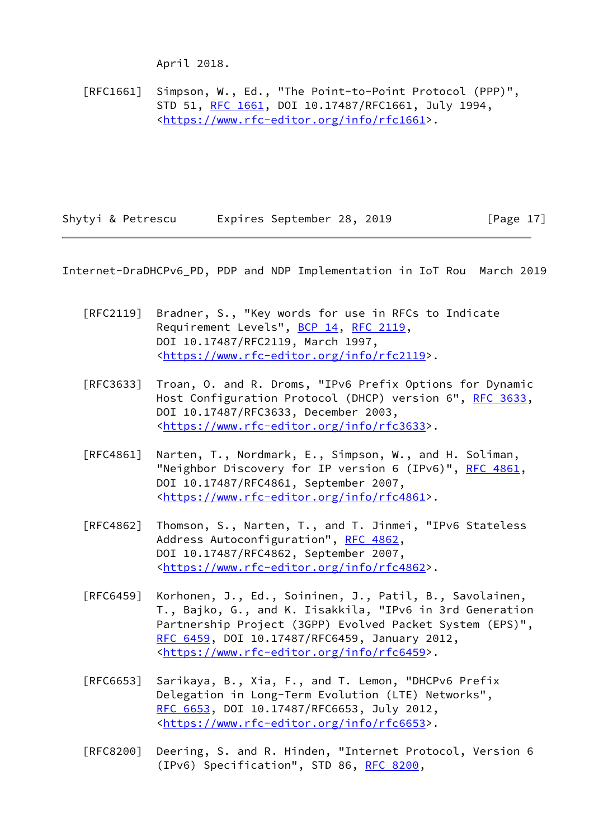April 2018.

 [RFC1661] Simpson, W., Ed., "The Point-to-Point Protocol (PPP)", STD 51, [RFC 1661,](https://datatracker.ietf.org/doc/pdf/rfc1661) DOI 10.17487/RFC1661, July 1994, <[https://www.rfc-editor.org/info/rfc1661>](https://www.rfc-editor.org/info/rfc1661).

<span id="page-19-0"></span>Shytyi & Petrescu Expires September 28, 2019 [Page 17]

- [RFC2119] Bradner, S., "Key words for use in RFCs to Indicate Requirement Levels", [BCP 14](https://datatracker.ietf.org/doc/pdf/bcp14), [RFC 2119](https://datatracker.ietf.org/doc/pdf/rfc2119), DOI 10.17487/RFC2119, March 1997, <[https://www.rfc-editor.org/info/rfc2119>](https://www.rfc-editor.org/info/rfc2119).
- [RFC3633] Troan, O. and R. Droms, "IPv6 Prefix Options for Dynamic Host Configuration Protocol (DHCP) version 6", [RFC 3633](https://datatracker.ietf.org/doc/pdf/rfc3633), DOI 10.17487/RFC3633, December 2003, <[https://www.rfc-editor.org/info/rfc3633>](https://www.rfc-editor.org/info/rfc3633).
- [RFC4861] Narten, T., Nordmark, E., Simpson, W., and H. Soliman, "Neighbor Discovery for IP version 6 (IPv6)", [RFC 4861](https://datatracker.ietf.org/doc/pdf/rfc4861), DOI 10.17487/RFC4861, September 2007, <[https://www.rfc-editor.org/info/rfc4861>](https://www.rfc-editor.org/info/rfc4861).
- [RFC4862] Thomson, S., Narten, T., and T. Jinmei, "IPv6 Stateless Address Autoconfiguration", [RFC 4862,](https://datatracker.ietf.org/doc/pdf/rfc4862) DOI 10.17487/RFC4862, September 2007, <[https://www.rfc-editor.org/info/rfc4862>](https://www.rfc-editor.org/info/rfc4862).
- [RFC6459] Korhonen, J., Ed., Soininen, J., Patil, B., Savolainen, T., Bajko, G., and K. Iisakkila, "IPv6 in 3rd Generation Partnership Project (3GPP) Evolved Packet System (EPS)", [RFC 6459,](https://datatracker.ietf.org/doc/pdf/rfc6459) DOI 10.17487/RFC6459, January 2012, <[https://www.rfc-editor.org/info/rfc6459>](https://www.rfc-editor.org/info/rfc6459).
- [RFC6653] Sarikaya, B., Xia, F., and T. Lemon, "DHCPv6 Prefix Delegation in Long-Term Evolution (LTE) Networks", [RFC 6653,](https://datatracker.ietf.org/doc/pdf/rfc6653) DOI 10.17487/RFC6653, July 2012, <[https://www.rfc-editor.org/info/rfc6653>](https://www.rfc-editor.org/info/rfc6653).
- [RFC8200] Deering, S. and R. Hinden, "Internet Protocol, Version 6 (IPv6) Specification", STD 86, [RFC 8200](https://datatracker.ietf.org/doc/pdf/rfc8200),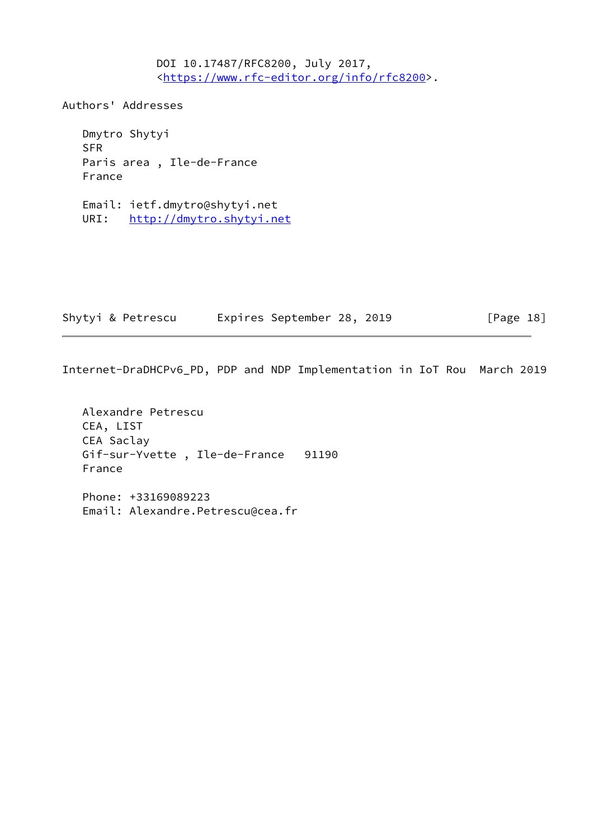DOI 10.17487/RFC8200, July 2017, <[https://www.rfc-editor.org/info/rfc8200>](https://www.rfc-editor.org/info/rfc8200).

Authors' Addresses

 Dmytro Shytyi SFR Paris area , Ile-de-France France

 Email: ietf.dmytro@shytyi.net URI: <http://dmytro.shytyi.net>

| Shytyi & Petrescu |  | Expires September 28, 2019 |  |  | [Page 18] |  |
|-------------------|--|----------------------------|--|--|-----------|--|
|-------------------|--|----------------------------|--|--|-----------|--|

```
 Alexandre Petrescu
CEA, LIST
CEA Saclay
Gif-sur-Yvette , Ile-de-France 91190
France
Phone: +33169089223
Email: Alexandre.Petrescu@cea.fr
```